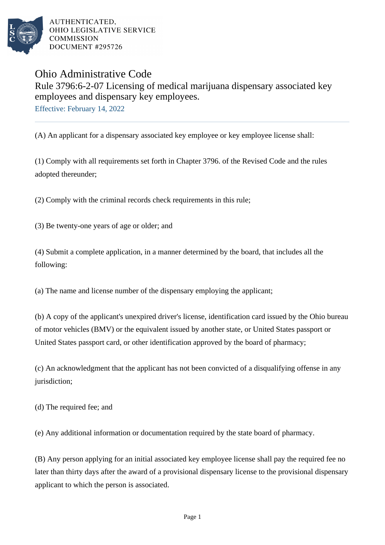

AUTHENTICATED. OHIO LEGISLATIVE SERVICE **COMMISSION** DOCUMENT #295726

## Ohio Administrative Code

## Rule 3796:6-2-07 Licensing of medical marijuana dispensary associated key employees and dispensary key employees.

Effective: February 14, 2022

(A) An applicant for a dispensary associated key employee or key employee license shall:

(1) Comply with all requirements set forth in Chapter 3796. of the Revised Code and the rules adopted thereunder;

(2) Comply with the criminal records check requirements in this rule;

(3) Be twenty-one years of age or older; and

(4) Submit a complete application, in a manner determined by the board, that includes all the following:

(a) The name and license number of the dispensary employing the applicant;

(b) A copy of the applicant's unexpired driver's license, identification card issued by the Ohio bureau of motor vehicles (BMV) or the equivalent issued by another state, or United States passport or United States passport card, or other identification approved by the board of pharmacy;

(c) An acknowledgment that the applicant has not been convicted of a disqualifying offense in any jurisdiction;

(d) The required fee; and

(e) Any additional information or documentation required by the state board of pharmacy.

(B) Any person applying for an initial associated key employee license shall pay the required fee no later than thirty days after the award of a provisional dispensary license to the provisional dispensary applicant to which the person is associated.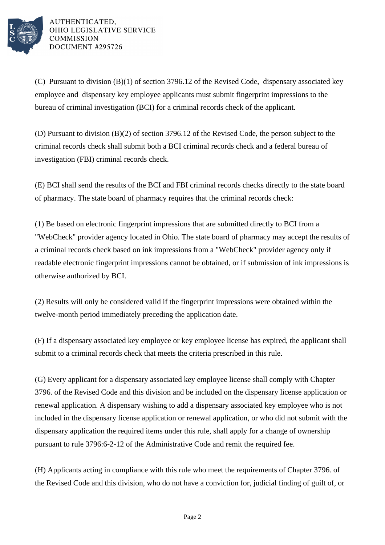

AUTHENTICATED. OHIO LEGISLATIVE SERVICE **COMMISSION** DOCUMENT #295726

(C) Pursuant to division (B)(1) of section 3796.12 of the Revised Code, dispensary associated key employee and dispensary key employee applicants must submit fingerprint impressions to the bureau of criminal investigation (BCI) for a criminal records check of the applicant.

(D) Pursuant to division (B)(2) of section 3796.12 of the Revised Code, the person subject to the criminal records check shall submit both a BCI criminal records check and a federal bureau of investigation (FBI) criminal records check.

(E) BCI shall send the results of the BCI and FBI criminal records checks directly to the state board of pharmacy. The state board of pharmacy requires that the criminal records check:

(1) Be based on electronic fingerprint impressions that are submitted directly to BCI from a "WebCheck" provider agency located in Ohio. The state board of pharmacy may accept the results of a criminal records check based on ink impressions from a "WebCheck" provider agency only if readable electronic fingerprint impressions cannot be obtained, or if submission of ink impressions is otherwise authorized by BCI.

(2) Results will only be considered valid if the fingerprint impressions were obtained within the twelve-month period immediately preceding the application date.

(F) If a dispensary associated key employee or key employee license has expired, the applicant shall submit to a criminal records check that meets the criteria prescribed in this rule.

(G) Every applicant for a dispensary associated key employee license shall comply with Chapter 3796. of the Revised Code and this division and be included on the dispensary license application or renewal application. A dispensary wishing to add a dispensary associated key employee who is not included in the dispensary license application or renewal application, or who did not submit with the dispensary application the required items under this rule, shall apply for a change of ownership pursuant to rule 3796:6-2-12 of the Administrative Code and remit the required fee.

(H) Applicants acting in compliance with this rule who meet the requirements of Chapter 3796. of the Revised Code and this division, who do not have a conviction for, judicial finding of guilt of, or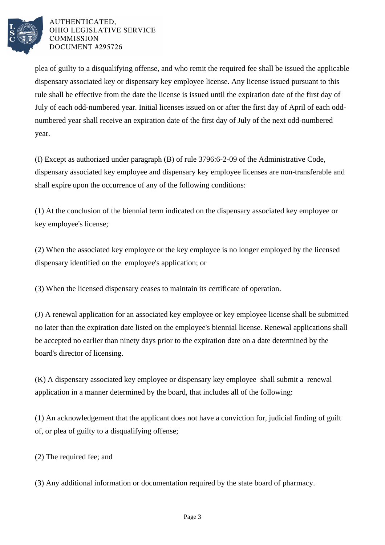

## AUTHENTICATED. OHIO LEGISLATIVE SERVICE **COMMISSION** DOCUMENT #295726

plea of guilty to a disqualifying offense, and who remit the required fee shall be issued the applicable dispensary associated key or dispensary key employee license. Any license issued pursuant to this rule shall be effective from the date the license is issued until the expiration date of the first day of July of each odd-numbered year. Initial licenses issued on or after the first day of April of each oddnumbered year shall receive an expiration date of the first day of July of the next odd-numbered year.

(I) Except as authorized under paragraph (B) of rule 3796:6-2-09 of the Administrative Code, dispensary associated key employee and dispensary key employee licenses are non-transferable and shall expire upon the occurrence of any of the following conditions:

(1) At the conclusion of the biennial term indicated on the dispensary associated key employee or key employee's license;

(2) When the associated key employee or the key employee is no longer employed by the licensed dispensary identified on the employee's application; or

(3) When the licensed dispensary ceases to maintain its certificate of operation.

(J) A renewal application for an associated key employee or key employee license shall be submitted no later than the expiration date listed on the employee's biennial license. Renewal applications shall be accepted no earlier than ninety days prior to the expiration date on a date determined by the board's director of licensing.

(K) A dispensary associated key employee or dispensary key employee shall submit a renewal application in a manner determined by the board, that includes all of the following:

(1) An acknowledgement that the applicant does not have a conviction for, judicial finding of guilt of, or plea of guilty to a disqualifying offense;

(2) The required fee; and

(3) Any additional information or documentation required by the state board of pharmacy.